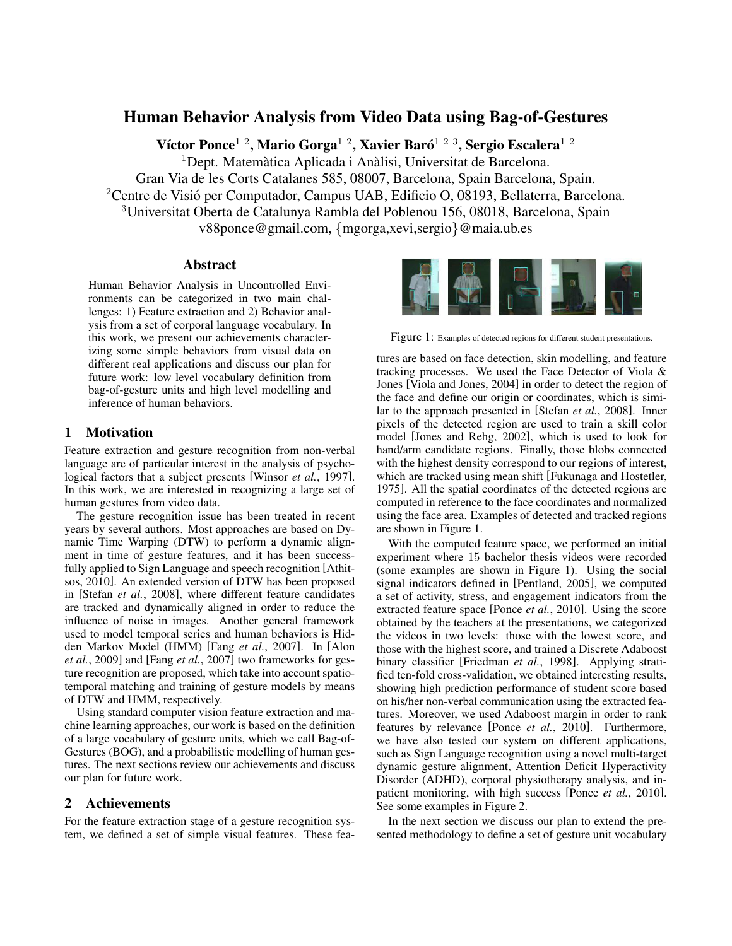# Human Behavior Analysis from Video Data using Bag-of-Gestures

Víctor Ponce $^{1/2}$ , Mario Gorga $^{1/2}$ , Xavier Baró $^{1/2/3}$ , Sergio Escalera $^{1/2}$ 

 $1$ Dept. Matemàtica Aplicada i Anàlisi, Universitat de Barcelona.

Gran Via de les Corts Catalanes 585, 08007, Barcelona, Spain Barcelona, Spain.

<sup>2</sup>Centre de Visió per Computador, Campus UAB, Edificio O, 08193, Bellaterra, Barcelona.

<sup>3</sup>Universitat Oberta de Catalunya Rambla del Poblenou 156, 08018, Barcelona, Spain

v88ponce@gmail.com, {mgorga,xevi,sergio}@maia.ub.es

#### Abstract

Human Behavior Analysis in Uncontrolled Environments can be categorized in two main challenges: 1) Feature extraction and 2) Behavior analysis from a set of corporal language vocabulary. In this work, we present our achievements characterizing some simple behaviors from visual data on different real applications and discuss our plan for future work: low level vocabulary definition from bag-of-gesture units and high level modelling and inference of human behaviors.

#### 1 Motivation

Feature extraction and gesture recognition from non-verbal language are of particular interest in the analysis of psychological factors that a subject presents [Winsor *et al.*, 1997]. In this work, we are interested in recognizing a large set of human gestures from video data.

The gesture recognition issue has been treated in recent years by several authors. Most approaches are based on Dynamic Time Warping (DTW) to perform a dynamic alignment in time of gesture features, and it has been successfully applied to Sign Language and speech recognition [Athitsos, 2010]. An extended version of DTW has been proposed in [Stefan *et al.*, 2008], where different feature candidates are tracked and dynamically aligned in order to reduce the influence of noise in images. Another general framework used to model temporal series and human behaviors is Hidden Markov Model (HMM) [Fang *et al.*, 2007]. In [Alon *et al.*, 2009] and [Fang *et al.*, 2007] two frameworks for gesture recognition are proposed, which take into account spatiotemporal matching and training of gesture models by means of DTW and HMM, respectively.

Using standard computer vision feature extraction and machine learning approaches, our work is based on the definition of a large vocabulary of gesture units, which we call Bag-of-Gestures (BOG), and a probabilistic modelling of human gestures. The next sections review our achievements and discuss our plan for future work.

#### 2 Achievements

For the feature extraction stage of a gesture recognition system, we defined a set of simple visual features. These fea-



Figure 1: Examples of detected regions for different student presentations.

tures are based on face detection, skin modelling, and feature tracking processes. We used the Face Detector of Viola & Jones [Viola and Jones, 2004] in order to detect the region of the face and define our origin or coordinates, which is similar to the approach presented in [Stefan *et al.*, 2008]. Inner pixels of the detected region are used to train a skill color model [Jones and Rehg, 2002], which is used to look for hand/arm candidate regions. Finally, those blobs connected with the highest density correspond to our regions of interest, which are tracked using mean shift [Fukunaga and Hostetler, 1975]. All the spatial coordinates of the detected regions are computed in reference to the face coordinates and normalized using the face area. Examples of detected and tracked regions are shown in Figure 1.

With the computed feature space, we performed an initial experiment where 15 bachelor thesis videos were recorded (some examples are shown in Figure 1). Using the social signal indicators defined in [Pentland, 2005], we computed a set of activity, stress, and engagement indicators from the extracted feature space [Ponce *et al.*, 2010]. Using the score obtained by the teachers at the presentations, we categorized the videos in two levels: those with the lowest score, and those with the highest score, and trained a Discrete Adaboost binary classifier [Friedman *et al.*, 1998]. Applying stratified ten-fold cross-validation, we obtained interesting results, showing high prediction performance of student score based on his/her non-verbal communication using the extracted features. Moreover, we used Adaboost margin in order to rank features by relevance [Ponce *et al.*, 2010]. Furthermore, we have also tested our system on different applications, such as Sign Language recognition using a novel multi-target dynamic gesture alignment, Attention Deficit Hyperactivity Disorder (ADHD), corporal physiotherapy analysis, and inpatient monitoring, with high success [Ponce *et al.*, 2010]. See some examples in Figure 2.

In the next section we discuss our plan to extend the presented methodology to define a set of gesture unit vocabulary